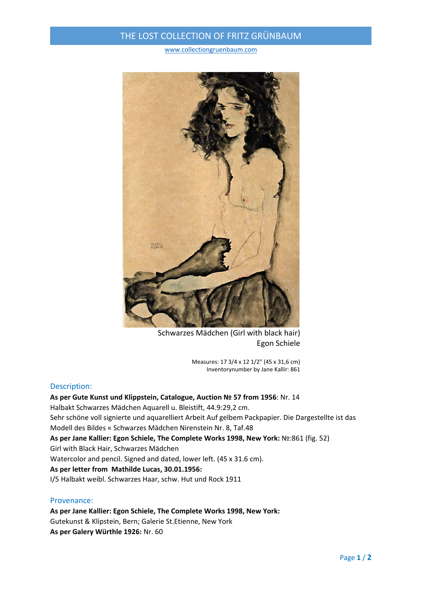## THE LOST COLLECTION OF FRITZ GRÜNBAUM

www.collectiongruenbaum.com



Schwarzes Mädchen (Girl with black hair) Egon Schiele

Measures: 17 3/4 x 12 1/2" (45 x 31,6 cm) Inventorynumber by Jane Kallir: 861

#### Description:

**As per Gute Kunst und Klippstein, Catalogue, Auction № 57 from 1956**: Nr. 14 Halbakt Schwarzes Mädchen Aquarell u. Bleistift, 44.9:29,2 cm. Sehr schöne voll signierte und aquarelliert Arbeit Auf gelbem Packpapier. Die Dargestellte ist das Modell des Bildes « Schwarzes Mädchen Nirenstein Nr. 8, Taf.48 **As per Jane Kallier: Egon Schiele, The Complete Works 1998, New York:** №:861 (fig. 52) Girl with Black Hair, Schwarzes Mädchen Watercolor and pencil. Signed and dated, lower left. (45 x 31.6 cm). **As per letter from Mathilde Lucas, 30.01.1956:** I/5 Halbakt weibl. Schwarzes Haar, schw. Hut und Rock 1911

### Provenance:

**As per Jane Kallier: Egon Schiele, The Complete Works 1998, New York:** Gutekunst & Klipstein, Bern; Galerie St.Etienne, New York **As per Galery Würthle 1926:** Nr. 60